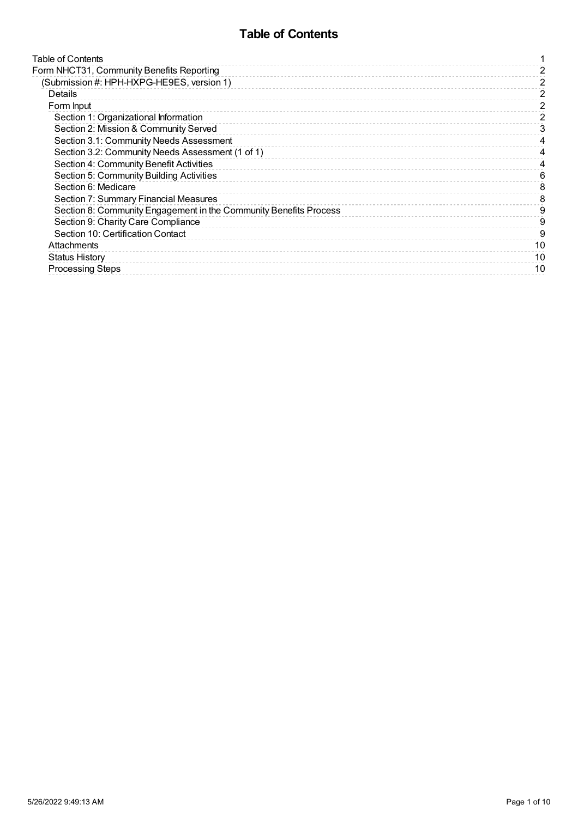# **Table of Contents**

<span id="page-0-0"></span>

| Form NHCT31, Community Benefits Reporting<br>(Submission #: HPH-HXPG-HE9ES, version 1)<br>Details<br>Form Input<br>Section 1: Organizational Information<br>Section 2: Mission & Community Served<br>Section 3.1: Community Needs Assessment<br>Section 3.2: Community Needs Assessment (1 of 1) | 2<br>2<br>2 |
|--------------------------------------------------------------------------------------------------------------------------------------------------------------------------------------------------------------------------------------------------------------------------------------------------|-------------|
|                                                                                                                                                                                                                                                                                                  |             |
|                                                                                                                                                                                                                                                                                                  |             |
|                                                                                                                                                                                                                                                                                                  |             |
|                                                                                                                                                                                                                                                                                                  |             |
|                                                                                                                                                                                                                                                                                                  |             |
|                                                                                                                                                                                                                                                                                                  | 3           |
|                                                                                                                                                                                                                                                                                                  |             |
|                                                                                                                                                                                                                                                                                                  |             |
| Section 4: Community Benefit Activities                                                                                                                                                                                                                                                          |             |
| Section 5: Community Building Activities                                                                                                                                                                                                                                                         | ิค          |
| Section 6: Medicare                                                                                                                                                                                                                                                                              | 8           |
| Section 7: Summary Financial Measures                                                                                                                                                                                                                                                            | 8           |
| Section 8: Community Engagement in the Community Benefits Process                                                                                                                                                                                                                                | 9           |
| Section 9: Charity Care Compliance                                                                                                                                                                                                                                                               | 9           |
| Section 10: Certification Contact                                                                                                                                                                                                                                                                | 9           |
| Attachments                                                                                                                                                                                                                                                                                      | 10          |
| <b>Status History</b>                                                                                                                                                                                                                                                                            | 10          |
| <b>Processing Steps</b>                                                                                                                                                                                                                                                                          | 10          |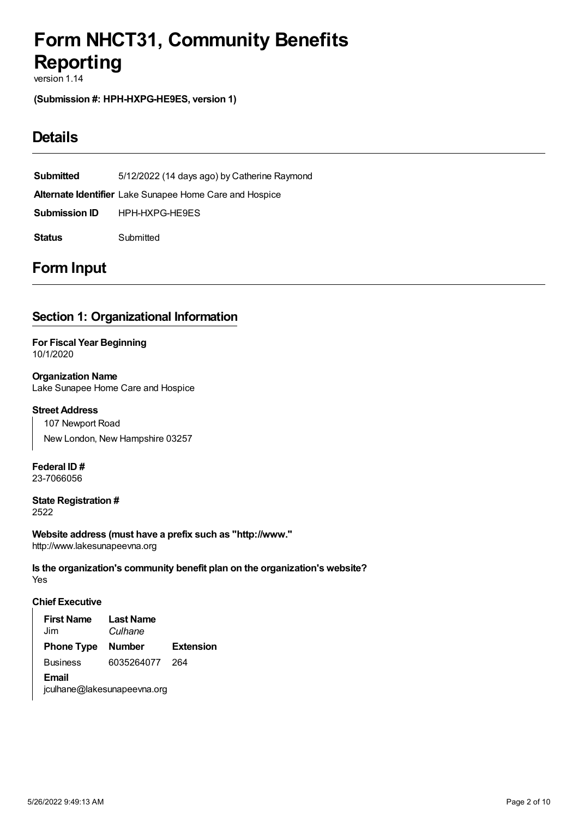# <span id="page-1-0"></span>**Form NHCT31, Community Benefits Reporting**

version 1.14

<span id="page-1-1"></span>**(Submission #: HPH-HXPG-HE9ES, version 1)**

# <span id="page-1-2"></span>**Details**

**Submitted** 5/12/2022 (14 days ago) by Catherine Raymond **Alternate Identifier** Lake Sunapee Home Care and Hospice **Submission ID** HPH-HXPG-HE9ES **Status** Submitted

# <span id="page-1-3"></span>**Form Input**

# <span id="page-1-4"></span>**Section 1: Organizational Information**

**For Fiscal Year Beginning** 10/1/2020

**Organization Name** Lake Sunapee Home Care and Hospice

#### **Street Address**

107 Newport Road New London, New Hampshire 03257

**Federal ID #** 23-7066056

**State Registration #** 2522

**Website address (must have a prefix such as "http://www."** http://www.lakesunapeevna.org

Yes **Is the organization's community benefit plan on the organization's website?**

#### **Chief Executive**

**First Name** Jim **Last Name** *Culhane* **Phone Type Number Extension** Business 6035264077 264 **Email** jculhane@lakesunapeevna.org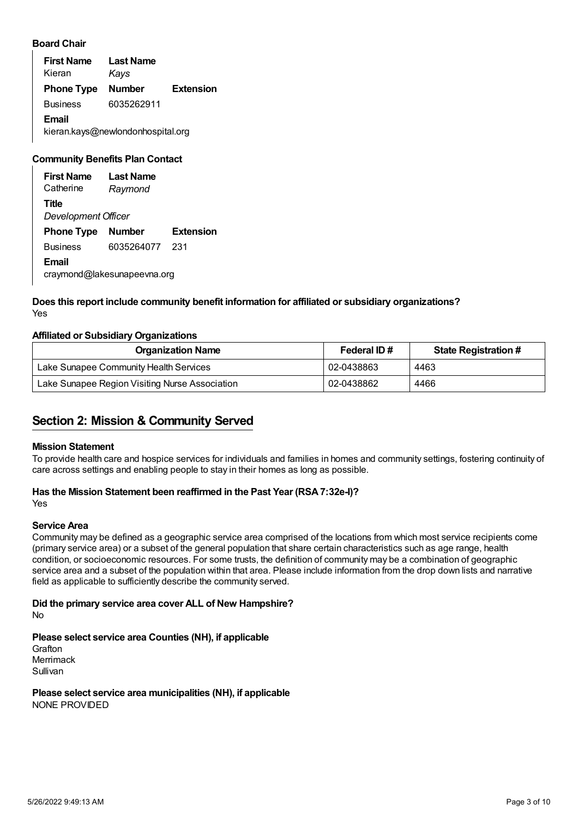#### **Board Chair**

**First Name** Kieran **Last Name** *Kays* **Phone Type Number Extension** Business 6035262911 **Email** kieran.kays@newlondonhospital.org

## **Community Benefits Plan Contact**

**First Name Catherine Last Name** *Raymond* **Title** *Development Officer* **Phone Type Number Extension** Business 6035264077 231 **Email** craymond@lakesunapeevna.org

#### Yes **Does this report include community benefit information for affiliated or subsidiary organizations?**

#### **Affiliated or Subsidiary Organizations**

| <b>Organization Name</b>                       | Federal ID# | <b>State Registration #</b> |
|------------------------------------------------|-------------|-----------------------------|
| Lake Sunapee Community Health Services         | 02-0438863  | 4463                        |
| Lake Sunapee Region Visiting Nurse Association | 02-0438862  | 4466                        |

## <span id="page-2-0"></span>**Section 2: Mission & Community Served**

#### **Mission Statement**

To provide health care and hospice services for individuals and families in homes and community settings, fostering continuity of care across settings and enabling people to stay in their homes as long as possible.

# **Has the Mission Statement been reaffirmed in the Past Year (RSA7:32e-I)?**

Yes

#### **Service Area**

Community may be defined as a geographic service area comprised of the locations from which most service recipients come (primary service area) or a subset of the general population that share certain characteristics such as age range, health condition, or socioeconomic resources. For some trusts, the definition of community may be a combination of geographic service area and a subset of the population within that area. Please include information from the drop down lists and narrative field as applicable to sufficiently describe the community served.

#### No **Did the primary service area cover ALL of New Hampshire?**

**Please select service area Counties (NH), if applicable**

Grafton Merrimack Sullivan

#### NONE PROVIDED **Please select service area municipalities (NH), if applicable**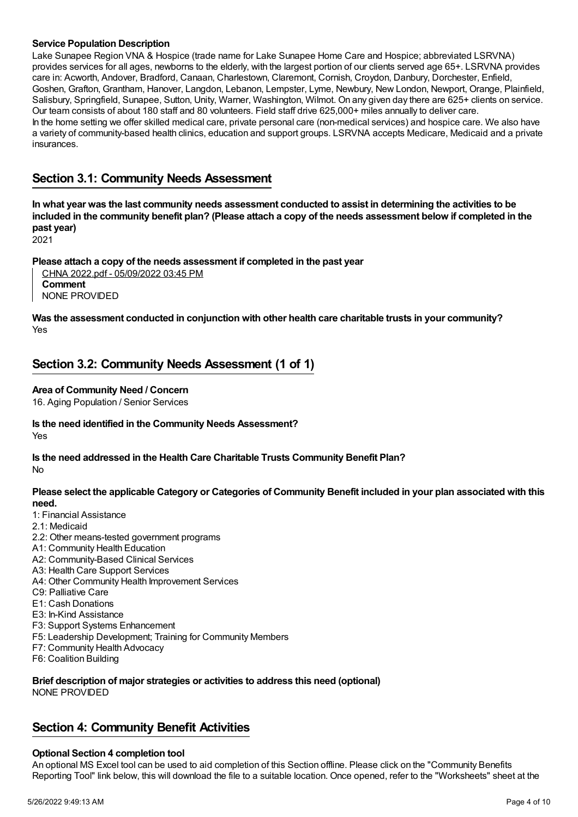#### **Service Population Description**

Lake Sunapee Region VNA & Hospice (trade name for Lake Sunapee Home Care and Hospice; abbreviated LSRVNA) provides services for all ages, newborns to the elderly, with the largest portion of our clients served age 65+. LSRVNA provides care in: Acworth, Andover, Bradford, Canaan, Charlestown, Claremont, Cornish, Croydon, Danbury, Dorchester, Enfield, Goshen, Grafton, Grantham, Hanover, Langdon, Lebanon, Lempster, Lyme, Newbury, New London, Newport, Orange, Plainfield, Salisbury, Springfield, Sunapee, Sutton, Unity, Warner, Washington, Wilmot. On any given day there are 625+ clients on service. Our team consists of about 180 staff and 80 volunteers. Field staff drive 625,000+ miles annually to deliver care. In the home setting we offer skilled medical care, private personal care (non-medical services) and hospice care. We also have a variety of community-based health clinics, education and support groups. LSRVNA accepts Medicare, Medicaid and a private insurances.

## <span id="page-3-0"></span>**Section 3.1: Community Needs Assessment**

In what year was the last community needs assessment conducted to assist in determining the activities to be included in the community benefit plan? (Please attach a copy of the needs assessment below if completed in the **past year)**

2021

## **Please attach a copy of the needs assessment if completed in the past year**

CHNA 2022.pdf - 05/09/2022 03:45 PM **Comment** NONE PROVIDED

Yes **Was the assessment conducted in conjunction with other health care charitable trusts in your community?**

## <span id="page-3-1"></span>**Section 3.2: Community Needs Assessment (1 of 1)**

#### **Area of Community Need / Concern**

16. Aging Population / Senior Services

Yes **Is the need identified in the Community Needs Assessment?**

No **Is the need addressed in the Health Care Charitable Trusts Community Benefit Plan?**

Please select the applicable Category or Categories of Community Benefit included in your plan associated with this **need.**

- 1: Financial Assistance
- 2.1: Medicaid
- 2.2: Other means-tested government programs
- A1: Community Health Education
- A2: Community-Based Clinical Services
- A3: Health Care Support Services
- A4: Other Community Health Improvement Services
- C9: Palliative Care
- E1: Cash Donations
- E3: In-Kind Assistance
- F3: Support Systems Enhancement
- F5: Leadership Development; Training for Community Members
- F7: Community Health Advocacy
- F6: Coalition Building

#### **Brief description of major strategies or activities to address this need (optional)** NONE PROVIDED

## <span id="page-3-2"></span>**Section 4: Community Benefit Activities**

#### **Optional Section 4 completion tool**

An optional MS Excel tool can be used to aid completion of this Section offline. Please click on the "Community Benefits Reporting Tool" link below, this will download the file to a suitable location. Once opened, refer to the "Worksheets" sheet at the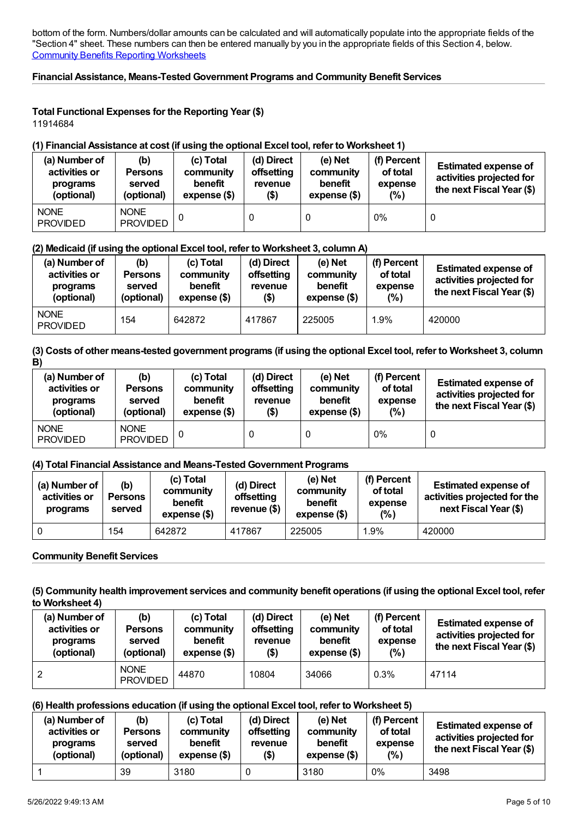bottom of the form. Numbers/dollar amounts can be calculated and will automatically populate into the appropriate fields of the "Section 4" sheet. These numbers can then be entered manually by you in the appropriate fields of this Section 4, below. Community Benefits Reporting [Worksheets](https://www.doj.nh.gov/charitable-trusts/documents/community-benefits-reporting-worksheets.xlsx)

## **Financial Assistance, Means-Tested Government Programs and Community Benefit Services**

#### **Total Functional Expenses for the Reporting Year (\$)** 11914684

#### **(1) Financial Assistance at cost (if using the optional Excel tool, refer to Worksheet 1)**

| (a) Number of<br>activities or<br>programs<br>(optional) | (b)<br><b>Persons</b><br>served<br>(optional) | (c) Total<br>community<br>benefit<br>expense (\$) | (d) Direct<br>offsetting<br>revenue<br>(\$) | (e) Net<br>community<br>benefit<br>$expense$ $($)$ | (f) Percent<br>of total<br>expense<br>(% ) | <b>Estimated expense of</b><br>activities projected for<br>the next Fiscal Year (\$) |
|----------------------------------------------------------|-----------------------------------------------|---------------------------------------------------|---------------------------------------------|----------------------------------------------------|--------------------------------------------|--------------------------------------------------------------------------------------|
| <b>NONE</b><br><b>PROVIDED</b>                           | <b>NONE</b><br><b>PROVIDED</b>                |                                                   |                                             | 0                                                  | $0\%$                                      |                                                                                      |

#### **(2) Medicaid (if using the optional Excel tool, refer to Worksheet 3, column A)**

| (a) Number of<br>activities or<br>programs<br>(optional) | (b)<br><b>Persons</b><br>served<br>(optional) | (c) Total<br>community<br>benefit<br>expense (\$) | (d) Direct<br>offsetting<br>revenue<br>$($ \$) | (e) Net<br>community<br>benefit<br>expense (\$) | (f) Percent<br>of total<br>expense<br>(%) | <b>Estimated expense of</b><br>activities projected for<br>the next Fiscal Year (\$) |
|----------------------------------------------------------|-----------------------------------------------|---------------------------------------------------|------------------------------------------------|-------------------------------------------------|-------------------------------------------|--------------------------------------------------------------------------------------|
| <b>NONE</b><br><b>PROVIDED</b>                           | 154                                           | 642872                                            | 417867                                         | 225005                                          | 1.9%                                      | 420000                                                                               |

#### (3) Costs of other means-tested government programs (if using the optional Excel tool, refer to Worksheet 3, column **B)**

| (a) Number of<br>activities or<br>programs<br>(optional) | (b)<br><b>Persons</b><br>served<br>(optional) | (c) Total<br>community<br>benefit<br>expense (\$) | (d) Direct<br>offsetting<br>revenue<br>(\$) | $(e)$ Net<br>community<br>benefit<br>expense (\$) | (f) Percent<br>of total<br>expense<br>$(\%)$ | <b>Estimated expense of</b><br>activities projected for<br>the next Fiscal Year (\$) |
|----------------------------------------------------------|-----------------------------------------------|---------------------------------------------------|---------------------------------------------|---------------------------------------------------|----------------------------------------------|--------------------------------------------------------------------------------------|
| <b>NONE</b><br><b>PROVIDED</b>                           | <b>NONE</b><br><b>PROVIDED</b>                |                                                   |                                             | 0                                                 | 0%                                           | U                                                                                    |

## **(4) Total Financial Assistance and Means-Tested Government Programs**

| (a) Number of $ $<br>activities or<br>programs | (b)<br><b>Persons</b><br>served | (c) Total<br>community<br>benefit<br>$expense$ $($)$ | (d) Direct<br>offsetting<br>revenue (\$) | (e) Net<br>community<br>benefit<br>expense (\$) | (f) Percent<br>of total<br>expense<br>(% ) | <b>Estimated expense of</b><br>activities projected for the<br>next Fiscal Year (\$) |
|------------------------------------------------|---------------------------------|------------------------------------------------------|------------------------------------------|-------------------------------------------------|--------------------------------------------|--------------------------------------------------------------------------------------|
|                                                | 154                             | 642872                                               | 417867                                   | 225005                                          | $.9\%$                                     | 420000                                                                               |

## **Community Benefit Services**

#### (5) Community health improvement services and community benefit operations (if using the optional Excel tool, refer **to Worksheet 4)**

| (a) Number of<br>activities or<br>programs<br>(optional) | (b)<br><b>Persons</b><br>served<br>(optional) | (c) Total<br>community<br>benefit<br>expense (\$) | (d) Direct<br>offsetting<br>revenue<br>$($ \$) | (e) Net<br>community<br>benefit<br>expense (\$) | (f) Percent<br>of total<br>expense<br>(% ) | <b>Estimated expense of</b><br>activities projected for<br>the next Fiscal Year (\$) |
|----------------------------------------------------------|-----------------------------------------------|---------------------------------------------------|------------------------------------------------|-------------------------------------------------|--------------------------------------------|--------------------------------------------------------------------------------------|
|                                                          | <b>NONE</b><br><b>PROVIDED</b>                | 44870                                             | 10804                                          | 34066                                           | 0.3%                                       | 47114                                                                                |

## **(6) Health professions education (if using the optional Excel tool, refer to Worksheet 5)**

| (a) Number of<br>activities or<br>programs<br>(optional) | (b)<br><b>Persons</b><br>served<br>(optional) | (c) Total<br>community<br>benefit<br>expense (\$) | (d) Direct<br>offsetting<br>revenue<br>$($ \$) | (e) Net<br>community<br>benefit<br>expense (\$) | (f) Percent<br>of total<br>expense<br>(%) | <b>Estimated expense of</b><br>activities projected for<br>the next Fiscal Year (\$) |
|----------------------------------------------------------|-----------------------------------------------|---------------------------------------------------|------------------------------------------------|-------------------------------------------------|-------------------------------------------|--------------------------------------------------------------------------------------|
|                                                          | 39                                            | 3180                                              |                                                | 3180                                            | $0\%$                                     | 3498                                                                                 |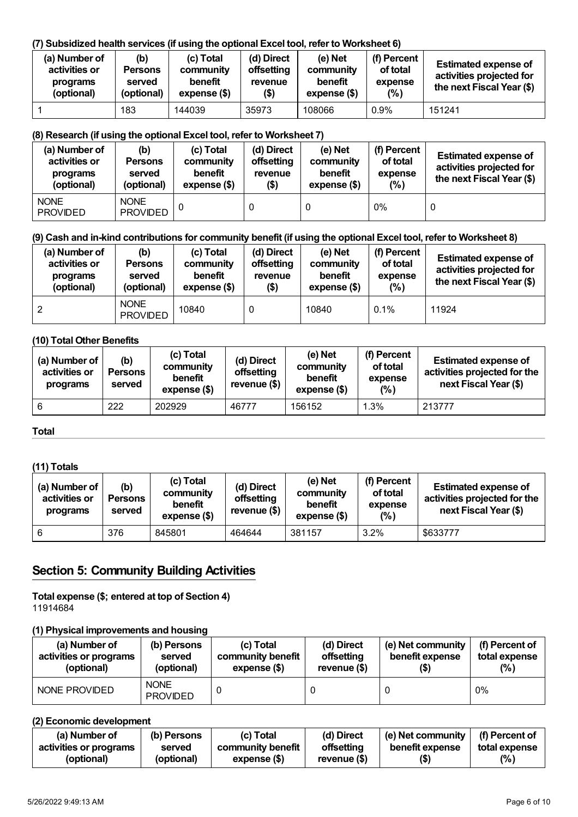## **(7) Subsidized health services (if using the optional Excel tool, refer to Worksheet 6)**

| (a) Number of<br>activities or<br>programs<br>(optional) | (b)<br><b>Persons</b><br>served<br>(optional) | (c) Total<br>community<br>benefit<br>$expense$ (\$) | (d) Direct<br>offsetting<br>revenue<br>$($ \$) | (e) Net<br>community<br>benefit<br>expense (\$) | (f) Percent<br>of total<br>expense<br>(% ) | <b>Estimated expense of</b><br>activities projected for<br>the next Fiscal Year (\$) |
|----------------------------------------------------------|-----------------------------------------------|-----------------------------------------------------|------------------------------------------------|-------------------------------------------------|--------------------------------------------|--------------------------------------------------------------------------------------|
|                                                          | 183                                           | 144039                                              | 35973                                          | 108066                                          | 0.9%                                       | 151241                                                                               |

## **(8) Research (if using the optional Excel tool, refer to Worksheet 7)**

| (a) Number of<br>activities or<br>programs<br>(optional) | (b)<br><b>Persons</b><br>served<br>(optional) | (c) Total<br>community<br>benefit<br>expense (\$) | (d) Direct<br>offsetting<br>revenue<br>$($ \$) | $(e)$ Net<br>community<br>benefit<br>expense (\$) | (f) Percent<br>of total<br>expense<br>(% ) | <b>Estimated expense of</b><br>activities projected for<br>the next Fiscal Year (\$) |
|----------------------------------------------------------|-----------------------------------------------|---------------------------------------------------|------------------------------------------------|---------------------------------------------------|--------------------------------------------|--------------------------------------------------------------------------------------|
| <b>NONE</b><br><b>PROVIDED</b>                           | <b>NONE</b><br><b>PROVIDED</b>                |                                                   |                                                | 0                                                 | 0%                                         | 0                                                                                    |

## (9) Cash and in-kind contributions for community benefit (if using the optional Excel tool, refer to Worksheet 8)

| (a) Number of<br>activities or<br>programs<br>(optional) | (b)<br><b>Persons</b><br>served<br>(optional) | (c) Total<br>community<br>benefit<br>expense (\$) | (d) Direct<br>offsetting<br>revenue<br>\$) | (e) Net<br>community<br>benefit<br>expense (\$) | (f) Percent<br>of total<br>expense<br>(% ) | <b>Estimated expense of</b><br>activities projected for<br>the next Fiscal Year (\$) |
|----------------------------------------------------------|-----------------------------------------------|---------------------------------------------------|--------------------------------------------|-------------------------------------------------|--------------------------------------------|--------------------------------------------------------------------------------------|
|                                                          | <b>NONE</b><br><b>PROVIDED</b>                | 10840                                             |                                            | 10840                                           | $0.1\%$                                    | 11924                                                                                |

## **(10) Total Other Benefits**

| (a) Number of<br>activities or<br>programs | (b)<br><b>Persons</b><br>served | (c) Total<br>community<br>benefit<br>$expense$ $($)$ | (d) Direct<br>offsetting<br>revenue (\$) | (e) Net<br>community<br>benefit<br>$expense$ (\$) | (f) Percent<br>of total<br>expense<br>(%) | <b>Estimated expense of</b><br>activities projected for the<br>next Fiscal Year (\$) |
|--------------------------------------------|---------------------------------|------------------------------------------------------|------------------------------------------|---------------------------------------------------|-------------------------------------------|--------------------------------------------------------------------------------------|
| 6                                          | 222                             | 202929                                               | 46777                                    | 156152                                            | 1.3%                                      | 213777                                                                               |

## **Total**

## **(11) Totals**

| (a) Number of<br>activities or<br>programs | (b)<br><b>Persons</b><br>served | (c) Total<br>community<br>benefit<br>expense (\$) | (d) Direct<br>offsetting<br>revenue $($)$ | (e) Net<br>community<br>benefit<br>expense (\$) | (f) Percent<br>of total<br>expense<br>(%) | <b>Estimated expense of</b><br>activities projected for the<br>next Fiscal Year (\$) |
|--------------------------------------------|---------------------------------|---------------------------------------------------|-------------------------------------------|-------------------------------------------------|-------------------------------------------|--------------------------------------------------------------------------------------|
| 6                                          | 376                             | 845801                                            | 464644                                    | 381157                                          | 3.2%                                      | \$633777                                                                             |

# <span id="page-5-0"></span>**Section 5: Community Building Activities**

**Total expense (\$; entered at top of Section 4)** 11914684

## **(1) Physical improvements and housing**

| (a) Number of          | (b) Persons                    | (c) Total         | (d) Direct    | (e) Net community | (f) Percent of |
|------------------------|--------------------------------|-------------------|---------------|-------------------|----------------|
| activities or programs | served                         | community benefit | offsetting    | benefit expense   | total expense  |
| (optional)             | (optional)                     | expense (\$)      | revenue $($)$ | (\$)              | (% )           |
| NONE PROVIDED          | <b>NONE</b><br><b>PROVIDED</b> |                   |               |                   | 0%             |

## **(2) Economic development**

| (a) Number of          | (b) Persons | (c) Total         | (d) Direct     | (e) Net community | (f) Percent of |
|------------------------|-------------|-------------------|----------------|-------------------|----------------|
| activities or programs | served      | community benefit | offsetting     | benefit expense   | total expense  |
| (optional)             | (optional)  | expense (\$)      | revenue $(\$)$ | (\$)              | (% )           |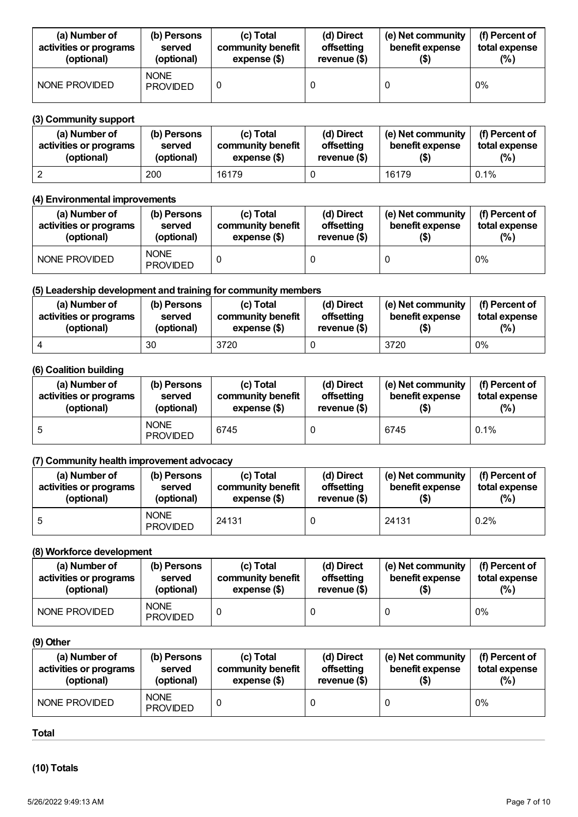| (a) Number of          | (b) Persons                    | (c) Total         | (d) Direct    | (e) Net community | (f) Percent of |
|------------------------|--------------------------------|-------------------|---------------|-------------------|----------------|
| activities or programs | served                         | community benefit | offsetting    | benefit expense   | total expense  |
| (optional)             | (optional)                     | expense (\$)      | revenue $($)$ | (\$)              | (%)            |
| NONE PROVIDED          | <b>NONE</b><br><b>PROVIDED</b> |                   |               |                   | $0\%$          |

## **(3) Community support**

| (a) Number of          | (b) Persons | (c) Total         | (d) Direct    | (e) Net community | (f) Percent of |
|------------------------|-------------|-------------------|---------------|-------------------|----------------|
| activities or programs | served      | community benefit | offsetting    | benefit expense   | total expense  |
| (optional)             | (optional)  | expense (\$)      | revenue $($)$ | (\$)              | $(\%)$         |
|                        | 200         | 16179             |               | 16179             | 0.1%           |

## **(4) Environmental improvements**

| (a) Number of<br>activities or programs<br>(optional) | (b) Persons<br>served<br>(optional) | (c) Total<br>community benefit<br>expense (\$) | (d) Direct<br>offsetting<br>revenue $($)$ | (e) Net community<br>benefit expense | (f) Percent of<br>total expense<br>(% ) |
|-------------------------------------------------------|-------------------------------------|------------------------------------------------|-------------------------------------------|--------------------------------------|-----------------------------------------|
| NONE PROVIDED                                         | <b>NONE</b><br><b>PROVIDED</b>      |                                                |                                           |                                      | $0\%$                                   |

## **(5) Leadership development and training for community members**

| (a) Number of          | (b) Persons | (c) Total         | (d) Direct    | (e) Net community | (f) Percent of |
|------------------------|-------------|-------------------|---------------|-------------------|----------------|
| activities or programs | served      | community benefit | offsetting    | benefit expense   | total expense  |
| (optional)             | (optional)  | expense (\$)      | revenue $($)$ | (\$)              | $(\%)$         |
|                        | 30          | 3720              |               | 3720              | 0%             |

## **(6) Coalition building**

| (a) Number of<br>activities or programs<br>(optional) | (b) Persons<br>served<br>(optional) | (c) Total<br>community benefit<br>expense (\$) | (d) Direct<br>offsetting<br>revenue $($)$ | (e) Net community<br>benefit expense | (f) Percent of<br>total expense<br>$(\%)$ |
|-------------------------------------------------------|-------------------------------------|------------------------------------------------|-------------------------------------------|--------------------------------------|-------------------------------------------|
| <sub>5</sub>                                          | <b>NONE</b><br><b>PROVIDED</b>      | 6745                                           |                                           | 6745                                 | 0.1%                                      |

## **(7) Community health improvement advocacy**

| (a) Number of          | (b) Persons                    | (c) Total         | (d) Direct    | (e) Net community | (f) Percent of |
|------------------------|--------------------------------|-------------------|---------------|-------------------|----------------|
| activities or programs | served                         | community benefit | offsetting    | benefit expense   | total expense  |
| (optional)             | (optional)                     | expense (\$)      | revenue $($)$ | (\$)              | $(\%)$         |
|                        | <b>NONE</b><br><b>PROVIDED</b> | 24131             |               | 24131             | 0.2%           |

## **(8) Workforce development**

| (a) Number of<br>activities or programs<br>(optional) | (b) Persons<br>served<br>(optional) | (c) Total<br>community benefit<br>expense (\$) | (d) Direct<br>offsetting<br>revenue $($)$ | (e) Net community<br>benefit expense | (f) Percent of<br>total expense<br>$(\%)$ |
|-------------------------------------------------------|-------------------------------------|------------------------------------------------|-------------------------------------------|--------------------------------------|-------------------------------------------|
| NONE PROVIDED                                         | <b>NONE</b><br><b>PROVIDED</b>      |                                                |                                           |                                      | $0\%$                                     |

## **(9) Other**

| (a) Number of          | (b) Persons                    | (c) Total         | (d) Direct    | (e) Net community | (f) Percent of |
|------------------------|--------------------------------|-------------------|---------------|-------------------|----------------|
| activities or programs | served                         | community benefit | offsetting    | benefit expense   | total expense  |
| (optional)             | (optional)                     | expense (\$)      | revenue $($)$ | (\$)              | $(\%)$         |
| NONE PROVIDED          | <b>NONE</b><br><b>PROVIDED</b> |                   |               |                   | 0%             |

#### **Total**

**(10) Totals**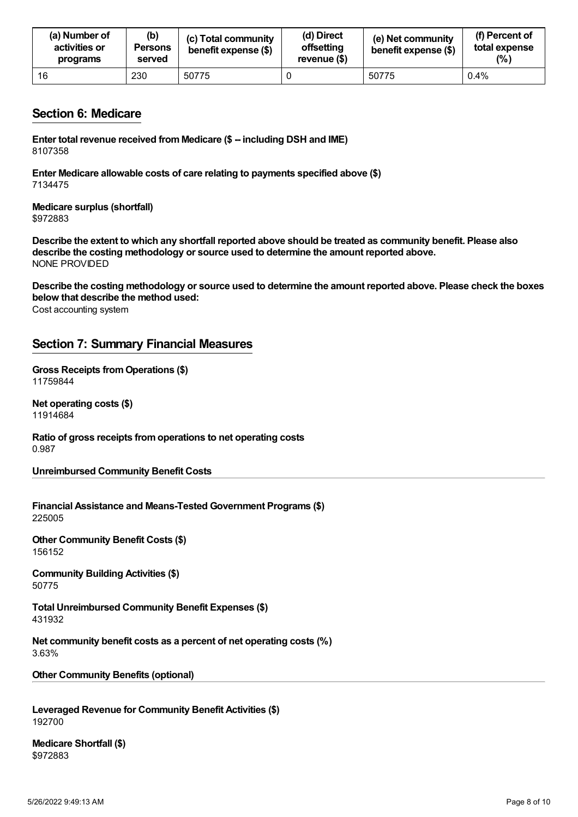| (a) Number of<br>activities or<br>programs | (b)<br><b>Persons</b><br>served | (c) Total community<br>benefit expense (\$) | (d) Direct<br>offsetting<br>revenue (\$) | (e) Net community<br>benefit expense (\$) | (f) Percent of<br>total expense<br>(%) |
|--------------------------------------------|---------------------------------|---------------------------------------------|------------------------------------------|-------------------------------------------|----------------------------------------|
| 16                                         | 230                             | 50775                                       |                                          | 50775                                     | 0.4%                                   |

## <span id="page-7-0"></span>**Section 6: Medicare**

**Enter total revenue received fromMedicare (\$ -- including DSH and IME)** 8107358

**Enter Medicare allowable costs of care relating to payments specified above (\$)** 7134475

**Medicare surplus (shortfall)** \$972883

Describe the extent to which any shortfall reported above should be treated as community benefit. Please also **describe the costing methodology or source used to determine the amount reported above.** NONE PROVIDED

Cost accounting system Describe the costing methodology or source used to determine the amount reported above. Please check the boxes **below that describe the method used:**

## <span id="page-7-1"></span>**Section 7: Summary Financial Measures**

**Gross Receipts fromOperations (\$)** 11759844

**Net operating costs (\$)** 11914684

**Ratio of gross receipts fromoperations to net operating costs** 0.987

**Unreimbursed Community Benefit Costs**

**Financial Assistance and Means-Tested Government Programs (\$)** 225005

**Other Community Benefit Costs (\$)** 156152

**Community Building Activities (\$)** 50775

**Total Unreimbursed Community Benefit Expenses (\$)** 431932

**Net community benefit costs as a percent of net operating costs (%)** 3.63%

**Other Community Benefits (optional)**

**Leveraged Revenue for Community Benefit Activities (\$)** 192700

**Medicare Shortfall (\$)** \$972883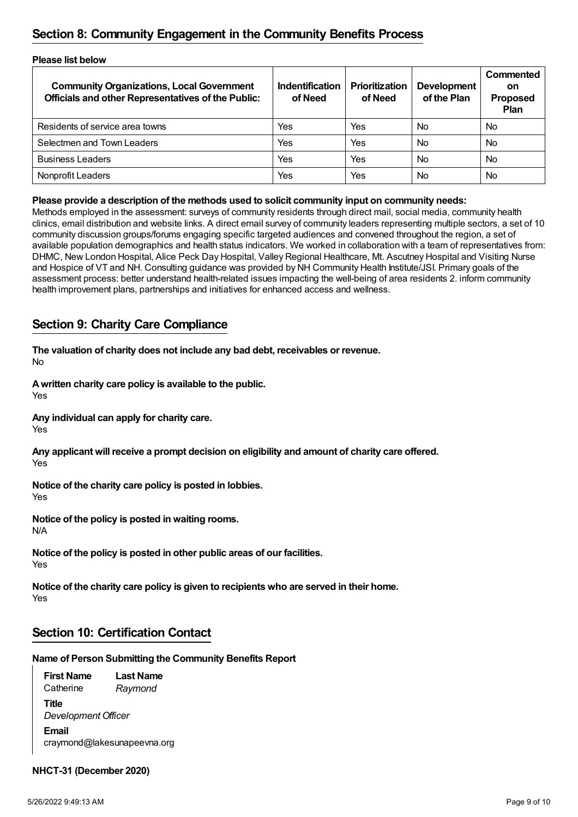# <span id="page-8-0"></span>**Section 8: Community Engagement in the Community Benefits Process**

| <b>Please list below</b>                                                                                      |                                   |                                  |                                   |                                            |  |
|---------------------------------------------------------------------------------------------------------------|-----------------------------------|----------------------------------|-----------------------------------|--------------------------------------------|--|
| <b>Community Organizations, Local Government</b><br><b>Officials and other Representatives of the Public:</b> | <b>Indentification</b><br>of Need | <b>Prioritization</b><br>of Need | <b>Development</b><br>of the Plan | Commented<br>on<br><b>Proposed</b><br>Plan |  |
| Residents of service area towns                                                                               | Yes                               | Yes                              | <b>No</b>                         | <b>No</b>                                  |  |
| Selectmen and Town Leaders                                                                                    | Yes                               | Yes                              | <b>No</b>                         | <b>No</b>                                  |  |
| <b>Business Leaders</b>                                                                                       | Yes                               | Yes                              | <b>No</b>                         | <b>No</b>                                  |  |
| Nonprofit Leaders                                                                                             | Yes                               | Yes                              | <b>No</b>                         | <b>No</b>                                  |  |

## **Please provide a description of the methods used to solicit community input on community needs:**

Methods employed in the assessment: surveys of community residents through direct mail, social media, community health clinics, email distribution and website links. A direct email survey of community leaders representing multiple sectors, a set of 10 community discussion groups/forums engaging specific targeted audiences and convened throughout the region, a set of available population demographics and health status indicators. We worked in collaboration with a team of representatives from: DHMC, New London Hospital, Alice Peck Day Hospital, Valley Regional Healthcare, Mt. Ascutney Hospital and Visiting Nurse and Hospice of VT and NH. Consulting guidance was provided by NH Community Health Institute/JSI. Primary goals of the assessment process: better understand health-related issues impacting the well-being of area residents 2. inform community health improvement plans, partnerships and initiatives for enhanced access and wellness.

## <span id="page-8-1"></span>**Section 9: Charity Care Compliance**

No **The valuation of charity does not include any bad debt, receivables or revenue.**

**Awritten charity care policy is available to the public.**

Yes

**Any individual can apply for charity care.**

Yes

Yes **Any applicant will receive a prompt decision on eligibility and amount of charity care offered.**

**Notice of the charity care policy is posted in lobbies.**

Yes

N/A **Notice of the policy is posted in waiting rooms.**

Yes **Notice of the policy is posted in other public areas of our facilities.**

Yes **Notice of the charity care policy is given to recipients who are served in their home.**

# <span id="page-8-2"></span>**Section 10: Certification Contact**

## **Name of Person Submitting the Community Benefits Report**

**First Name Catherine Last Name** *Raymond* **Title** *Development Officer* **Email** craymond@lakesunapeevna.org

## **NHCT-31 (December 2020)**